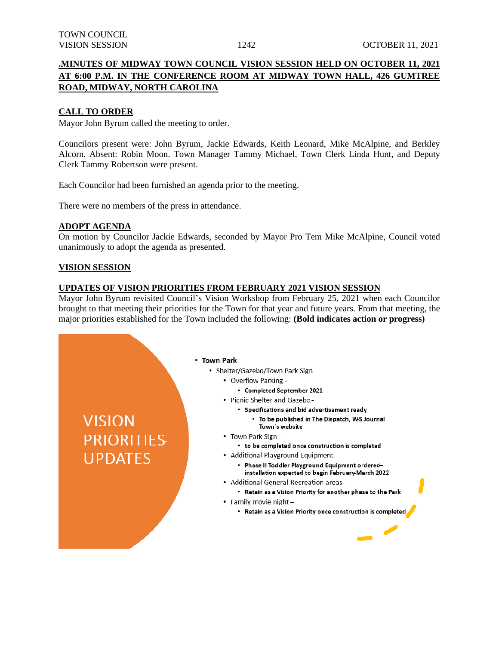## **.MINUTES OF MIDWAY TOWN COUNCIL VISION SESSION HELD ON OCTOBER 11, 2021 AT 6:00 P.M. IN THE CONFERENCE ROOM AT MIDWAY TOWN HALL, 426 GUMTREE ROAD, MIDWAY, NORTH CAROLINA**

### **CALL TO ORDER**

Mayor John Byrum called the meeting to order.

Councilors present were: John Byrum, Jackie Edwards, Keith Leonard, Mike McAlpine, and Berkley Alcorn. Absent: Robin Moon. Town Manager Tammy Michael, Town Clerk Linda Hunt, and Deputy Clerk Tammy Robertson were present.

Each Councilor had been furnished an agenda prior to the meeting.

There were no members of the press in attendance.

#### **ADOPT AGENDA**

On motion by Councilor Jackie Edwards, seconded by Mayor Pro Tem Mike McAlpine, Council voted unanimously to adopt the agenda as presented.

#### **VISION SESSION**

**VISION** 

**PRIORITIES** 

**UPDATES** 

#### **UPDATES OF VISION PRIORITIES FROM FEBRUARY 2021 VISION SESSION**

Mayor John Byrum revisited Council's Vision Workshop from February 25, 2021 when each Councilor brought to that meeting their priorities for the Town for that year and future years. From that meeting, the major priorities established for the Town included the following: **(Bold indicates action or progress)**

#### • Town Park

- Shelter/Gazebo/Town Park Sign
	- Overflow Parking -
		- Completed September 2021
	- Picnic Shelter and Gazebo-
		- · Specifications and bid advertisement ready
			- To be published in The Dispatch, W-S Journal Town's website
	- Town Park Sign -
		- to be completed once construction is completed
	- Additional Playground Equipment -
		- Phase II Toddler Playground Equipment orderedinstallation expected to begin February March 2022
	- Additional General Recreation areas-
		- Retain as a Vision Priority for another phase to the Park
	- Family movie night-
		- Retain as a Vision Priority once construction is completed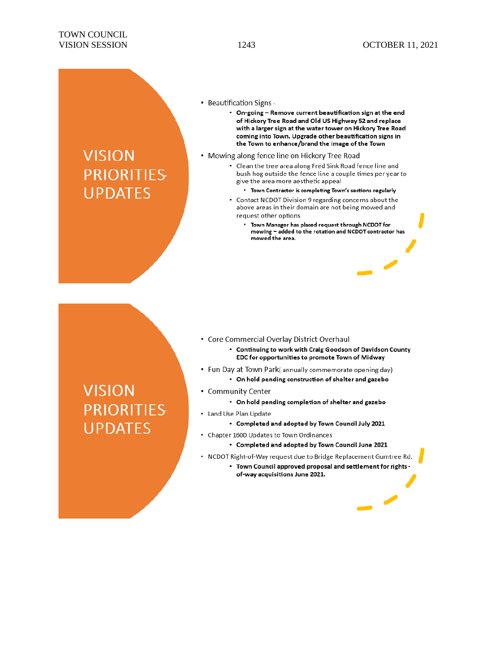#### • Beautification Signs -

- On-going Remove current beautification sign at the end of Hickory Tree Road and Old US Highway 52 and replace with a larger sign at the water tower on Hickory Tree Road coming into Town. Upgrade other beautification signs in the Town to enhance/brand the image of the Town
- Mowing along fence line on Hickory Tree Road
	- Clean the tree area along Fred Sink Road fence line and bush hog outside the fence line a couple times per year to give the area more aesthetic appeal
		- \* Town Contractor is completing Town's sections regularly
	- Contact NCDOT Division 9 regarding concerns about the above areas in their domain are not being mowed and request other options
		- Town Manager has placed request through NCDOT for mowing - added to the rotation and NCDOT contractor has mowed the area.

- Core Commercial Overlay District Overhaul
	- Continuing to work with Craig Goodson of Davidson County EDC for opportunities to promote Town of Midway
- Fun Day at Town Park( annually commemorate opening day)
	- On hold pending construction of shelter and gazebo
- Community Center
	- On hold pending completion of shelter and gazebo
- Land Use Plan Update
	- Completed and adopted by Town Council July 2021
- Chapter 160D Updates to Town Ordinances
	- Completed and adopted by Town Council June 2021
- NCDOT Right-of-Way request due to Bridge Replacement Gumtree Rd.
	- Town Council approved proposal and settlement for rights of-way acquisitions June 2021.

 $\overline{\phantom{a}}$ 

# **VISION PRIORITIES UPDATES**

**VISION** 

**PRIORITIES** 

**UPDATES**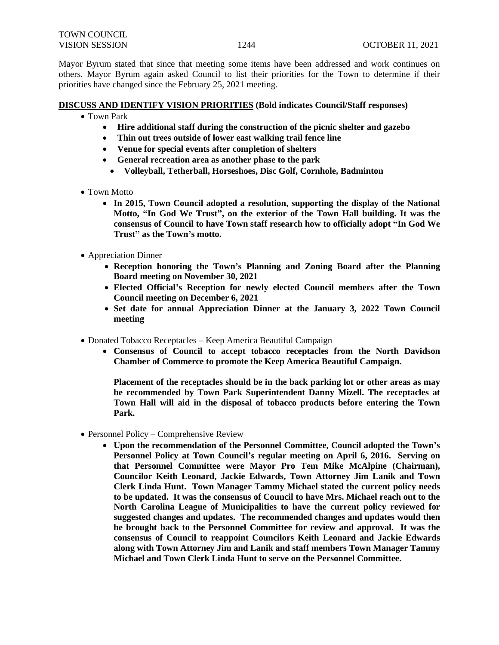Mayor Byrum stated that since that meeting some items have been addressed and work continues on others. Mayor Byrum again asked Council to list their priorities for the Town to determine if their priorities have changed since the February 25, 2021 meeting.

#### **DISCUSS AND IDENTIFY VISION PRIORITIES (Bold indicates Council/Staff responses)**

- Town Park
	- **Hire additional staff during the construction of the picnic shelter and gazebo**
	- **Thin out trees outside of lower east walking trail fence line**
	- **Venue for special events after completion of shelters**
	- **General recreation area as another phase to the park**
	- • **Volleyball, Tetherball, Horseshoes, Disc Golf, Cornhole, Badminton**
- Town Motto
	- **In 2015, Town Council adopted a resolution, supporting the display of the National Motto, "In God We Trust", on the exterior of the Town Hall building. It was the consensus of Council to have Town staff research how to officially adopt "In God We Trust" as the Town's motto.**
- Appreciation Dinner
	- **Reception honoring the Town's Planning and Zoning Board after the Planning Board meeting on November 30, 2021**
	- **Elected Official's Reception for newly elected Council members after the Town Council meeting on December 6, 2021**
	- **Set date for annual Appreciation Dinner at the January 3, 2022 Town Council meeting**
- Donated Tobacco Receptacles Keep America Beautiful Campaign
	- **Consensus of Council to accept tobacco receptacles from the North Davidson Chamber of Commerce to promote the Keep America Beautiful Campaign.**

**Placement of the receptacles should be in the back parking lot or other areas as may be recommended by Town Park Superintendent Danny Mizell. The receptacles at Town Hall will aid in the disposal of tobacco products before entering the Town Park.** 

- Personnel Policy Comprehensive Review
	- **Upon the recommendation of the Personnel Committee, Council adopted the Town's Personnel Policy at Town Council's regular meeting on April 6, 2016. Serving on that Personnel Committee were Mayor Pro Tem Mike McAlpine (Chairman), Councilor Keith Leonard, Jackie Edwards, Town Attorney Jim Lanik and Town Clerk Linda Hunt. Town Manager Tammy Michael stated the current policy needs to be updated. It was the consensus of Council to have Mrs. Michael reach out to the North Carolina League of Municipalities to have the current policy reviewed for suggested changes and updates. The recommended changes and updates would then be brought back to the Personnel Committee for review and approval. It was the consensus of Council to reappoint Councilors Keith Leonard and Jackie Edwards along with Town Attorney Jim and Lanik and staff members Town Manager Tammy Michael and Town Clerk Linda Hunt to serve on the Personnel Committee.**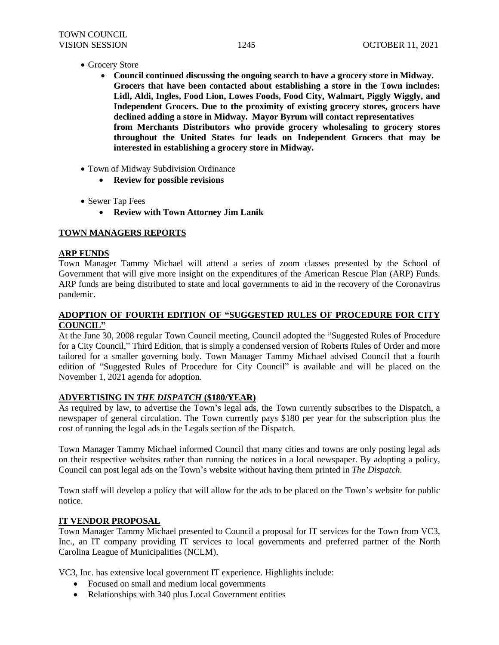- Grocery Store
	- **Council continued discussing the ongoing search to have a grocery store in Midway. Grocers that have been contacted about establishing a store in the Town includes: Lidl, Aldi, Ingles, Food Lion, Lowes Foods, Food City, Walmart, Piggly Wiggly, and Independent Grocers. Due to the proximity of existing grocery stores, grocers have declined adding a store in Midway. Mayor Byrum will contact representatives from Merchants Distributors who provide grocery wholesaling to grocery stores throughout the United States for leads on Independent Grocers that may be interested in establishing a grocery store in Midway.**
- Town of Midway Subdivision Ordinance
	- **Review for possible revisions**
- Sewer Tap Fees
	- **Review with Town Attorney Jim Lanik**

## **TOWN MANAGERS REPORTS**

# **ARP FUNDS**

Town Manager Tammy Michael will attend a series of zoom classes presented by the School of Government that will give more insight on the expenditures of the American Rescue Plan (ARP) Funds. ARP funds are being distributed to state and local governments to aid in the recovery of the Coronavirus pandemic.

#### **ADOPTION OF FOURTH EDITION OF "SUGGESTED RULES OF PROCEDURE FOR CITY COUNCIL"**

At the June 30, 2008 regular Town Council meeting, Council adopted the "Suggested Rules of Procedure for a City Council," Third Edition, that is simply a condensed version of Roberts Rules of Order and more tailored for a smaller governing body. Town Manager Tammy Michael advised Council that a fourth edition of "Suggested Rules of Procedure for City Council" is available and will be placed on the November 1, 2021 agenda for adoption.

#### **ADVERTISING IN** *THE DISPATCH* **(\$180/YEAR)**

As required by law, to advertise the Town's legal ads, the Town currently subscribes to the Dispatch, a newspaper of general circulation. The Town currently pays \$180 per year for the subscription plus the cost of running the legal ads in the Legals section of the Dispatch.

Town Manager Tammy Michael informed Council that many cities and towns are only posting legal ads on their respective websites rather than running the notices in a local newspaper. By adopting a policy, Council can post legal ads on the Town's website without having them printed in *The Dispatch.*

Town staff will develop a policy that will allow for the ads to be placed on the Town's website for public notice.

#### **IT VENDOR PROPOSAL**

Town Manager Tammy Michael presented to Council a proposal for IT services for the Town from VC3, Inc., an IT company providing IT services to local governments and preferred partner of the North Carolina League of Municipalities (NCLM).

VC3, Inc. has extensive local government IT experience. Highlights include:

- Focused on small and medium local governments
- Relationships with 340 plus Local Government entities